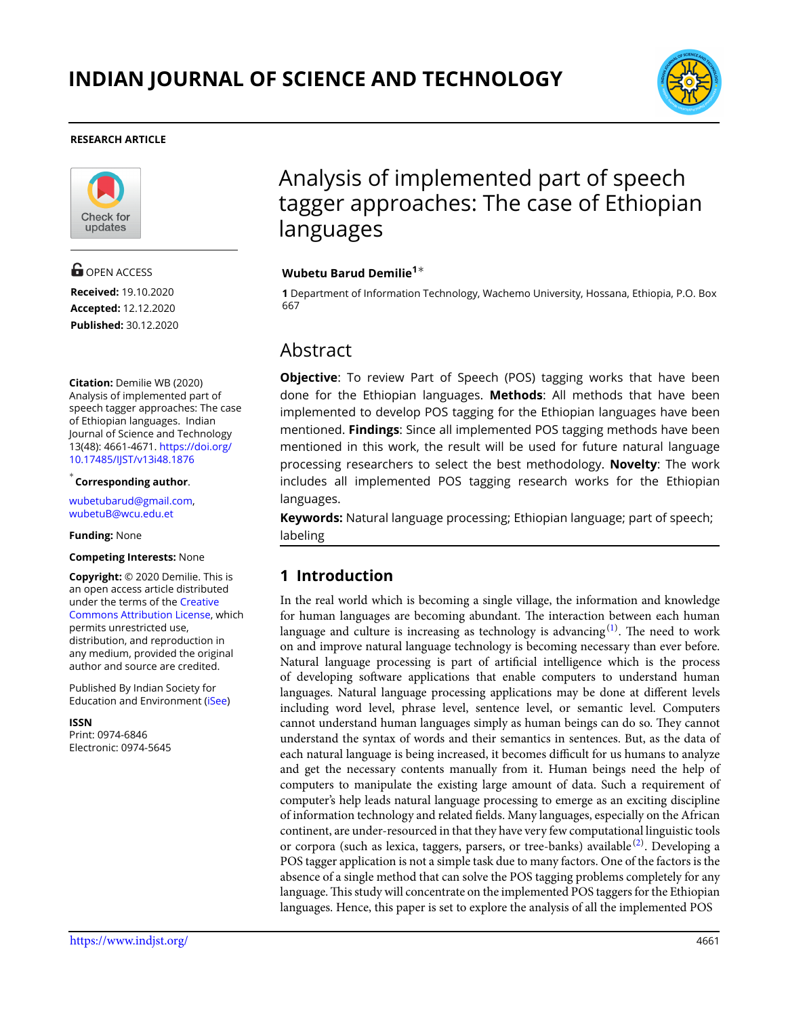

#### **RESEARCH ARTICLE**



**G** OPEN ACCESS **Received:** 19.10.2020 **Accepted:** 12.12.2020 **Published:** 30.12.2020

**Citation:** Demilie WB (2020) Analysis of implemented part of speech tagger approaches: The case of Ethiopian languages. Indian Journal of Science and Technology 13(48): 4661-4671. [https://doi.org/](https://doi.org/10.17485/IJST/v13i48.1876) [10.17485/IJST/v13i48.1876](https://doi.org/10.17485/IJST/v13i48.1876)

*∗* **Corresponding author**.

<wubetubarud@gmail.com>, [wubetuB@wcu.edu.et]( wubetuB@wcu.edu.et)

**Funding:** None

#### **Competing Interests:** None

**Copyright:** © 2020 Demilie. This is an open access article distributed under the terms of the [Creative](https://creativecommons.org/licenses/by/4.0/) [Commons Attribution License](https://creativecommons.org/licenses/by/4.0/), which permits unrestricted use, distribution, and reproduction in any medium, provided the original author and source are credited.

Published By Indian Society for Education and Environment([iSee\)](www.iseeadyar.org.)

**ISSN** Print: 0974-6846 Electronic: 0974-5645

# Analysis of implemented part of speech tagger approaches: The case of Ethiopian languages

#### **Wubetu Barud Demilie<sup>1</sup>***∗*

**1** Department of Information Technology, Wachemo University, Hossana, Ethiopia, P.O. Box 667

# Abstract

**Objective**: To review Part of Speech (POS) tagging works that have been done for the Ethiopian languages. **Methods**: All methods that have been implemented to develop POS tagging for the Ethiopian languages have been mentioned. **Findings**: Since all implemented POS tagging methods have been mentioned in this work, the result will be used for future natural language processing researchers to select the best methodology. **Novelty**: The work includes all implemented POS tagging research works for the Ethiopian languages.

**Keywords:** Natural language processing; Ethiopian language; part of speech; labeling

### **1 Introduction**

In the real world which is becoming a single village, the information and knowledge for human languages are becoming abundant. The interaction between each human language and culture is increasing as technology is advancing $^{\rm (1)}$  $^{\rm (1)}$  $^{\rm (1)}$ . The need to work on and improve natural language technology is becoming necessary than ever before. Natural language processing is part of artificial intelligence which is the process of developing software applications that enable computers to understand human languages. Natural language processing applications may be done at different levels including word level, phrase level, sentence level, or semantic level. Computers cannot understand human languages simply as human beings can do so. They cannot understand the syntax of words and their semantics in sentences. But, as the data of each natural language is being increased, it becomes difficult for us humans to analyze and get the necessary contents manually from it. Human beings need the help of computers to manipulate the existing large amount of data. Such a requirement of computer's help leads natural language processing to emerge as an exciting discipline of information technology and related fields. Many languages, especially on the African continent, are under-resourced in that they have very few computational linguistic tools or corpora (such as lexica, taggers, parsers, or tree-banks) available $^{(2)}$  $^{(2)}$  $^{(2)}$ . Developing a POS tagger application is not a simple task due to many factors. One of the factors is the absence of a single method that can solve the POS tagging problems completely for any language. This study will concentrate on the implemented POS taggers for the Ethiopian languages. Hence, this paper is set to explore the analysis of all the implemented POS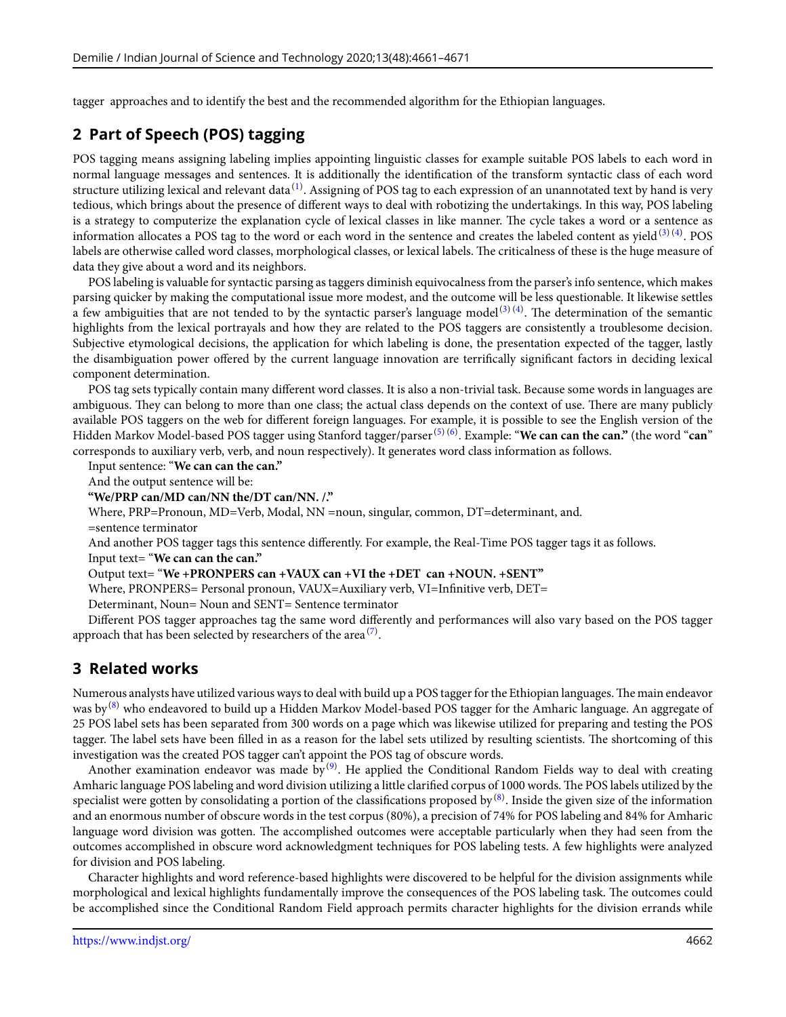tagger approaches and to identify the best and the recommended algorithm for the Ethiopian languages.

# **2 Part of Speech (POS) tagging**

POS tagging means assigning labeling implies appointing linguistic classes for example suitable POS labels to each word in normal language messages and sentences. It is additionally the identification of the transform syntactic class of each word structure utilizing lexical and relevant data $^{(1)}$  $^{(1)}$  $^{(1)}$ . Assigning of POS tag to each expression of an unannotated text by hand is very tedious, which brings about the presence of different ways to deal with robotizing the undertakings. In this way, POS labeling is a strategy to computerize the explanation cycle of lexical classes in like manner. The cycle takes a word or a sentence as informationallocates a POS tag to the word or each word in the sentence and creates the labeled content as yield  $^{(3) \, (4)}$  $^{(3) \, (4)}$  $^{(3) \, (4)}$  $^{(3) \, (4)}$  $^{(3) \, (4)}$ . POS labels are otherwise called word classes, morphological classes, or lexical labels. The criticalness of these is the huge measure of data they give about a word and its neighbors.

POS labeling is valuable for syntactic parsing as taggers diminish equivocalness from the parser's info sentence, which makes parsing quicker by making the computational issue more modest, and the outcome will be less questionable. It likewise settles a few ambiguities that are not tended to by the syntactic parser's language model<sup>([3](#page-9-2))(4)</sup>.The determination of the semantic highlights from the lexical portrayals and how they are related to the POS taggers are consistently a troublesome decision. Subjective etymological decisions, the application for which labeling is done, the presentation expected of the tagger, lastly the disambiguation power offered by the current language innovation are terrifically significant factors in deciding lexical component determination.

POS tag sets typically contain many different word classes. It is also a non-trivial task. Because some words in languages are ambiguous. They can belong to more than one class; the actual class depends on the context of use. There are many publicly available POS taggers on the web for different foreign languages. For example, it is possible to see the English version of the Hidden Markov Model-based POS tagger using Stanford tagger/parser([5](#page-10-1))([6](#page-10-2)) . Example: "**We can can the can."** (the word "**can**" corresponds to auxiliary verb, verb, and noun respectively). It generates word class information as follows.

Input sentence: "**We can can the can."**

And the output sentence will be:

**"We/PRP can/MD can/NN the/DT can/NN. /."**

Where, PRP=Pronoun, MD=Verb, Modal, NN =noun, singular, common, DT=determinant, and.

=sentence terminator

And another POS tagger tags this sentence differently. For example, the Real-Time POS tagger tags it as follows. Input text= "**We can can the can."**

Output text= "**We +PRONPERS can +VAUX can +VI the +DET can +NOUN. +SENT"**

Where, PRONPERS= Personal pronoun, VAUX=Auxiliary verb, VI=Infinitive verb, DET=

Determinant, Noun= Noun and SENT= Sentence terminator

Different POS tagger approaches tag the same word differently and performances will also vary based on the POS tagger approach that has been selected by researchers of the area  $\sp(7)$  $\sp(7)$ .

## **3 Related works**

Numerous analysts have utilized various ways to deal with build up a POS tagger for the Ethiopian languages.The main endeavor was by<sup>[\(8\)](#page-10-4)</sup> who endeavored to build up a Hidden Markov Model-based POS tagger for the Amharic language. An aggregate of 25 POS label sets has been separated from 300 words on a page which was likewise utilized for preparing and testing the POS tagger. The label sets have been filled in as a reason for the label sets utilized by resulting scientists. The shortcoming of this investigation was the created POS tagger can't appoint the POS tag of obscure words.

Another examination endeavor was made by $^{(9)}$  $^{(9)}$  $^{(9)}$ . He applied the Conditional Random Fields way to deal with creating Amharic language POS labeling and word division utilizing a little clarified corpus of 1000 words. The POS labels utilized by the specialist were gotten by consolidating a portion of the classifications proposed by  $^{(8)}$  $^{(8)}$  $^{(8)}$ . Inside the given size of the information and an enormous number of obscure words in the test corpus (80%), a precision of 74% for POS labeling and 84% for Amharic language word division was gotten. The accomplished outcomes were acceptable particularly when they had seen from the outcomes accomplished in obscure word acknowledgment techniques for POS labeling tests. A few highlights were analyzed for division and POS labeling.

Character highlights and word reference-based highlights were discovered to be helpful for the division assignments while morphological and lexical highlights fundamentally improve the consequences of the POS labeling task. The outcomes could be accomplished since the Conditional Random Field approach permits character highlights for the division errands while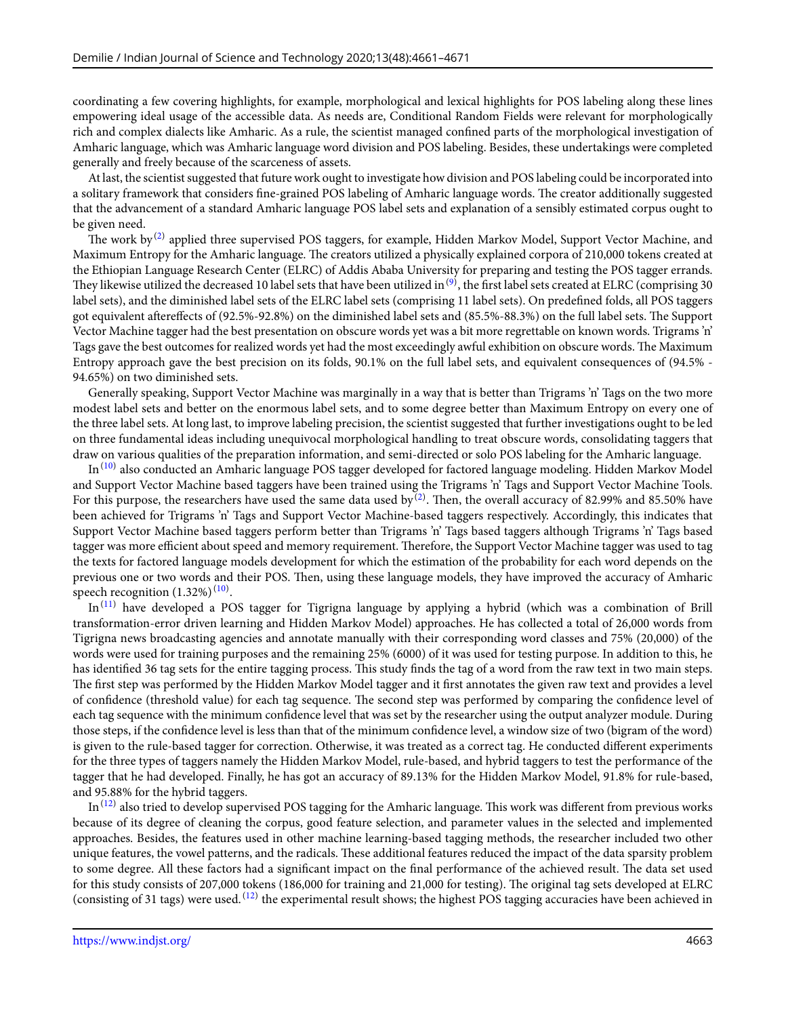coordinating a few covering highlights, for example, morphological and lexical highlights for POS labeling along these lines empowering ideal usage of the accessible data. As needs are, Conditional Random Fields were relevant for morphologically rich and complex dialects like Amharic. As a rule, the scientist managed confined parts of the morphological investigation of Amharic language, which was Amharic language word division and POS labeling. Besides, these undertakings were completed generally and freely because of the scarceness of assets.

At last, the scientist suggested that future work ought to investigate how division and POS labeling could be incorporated into a solitary framework that considers fine-grained POS labeling of Amharic language words. The creator additionally suggested that the advancement of a standard Amharic language POS label sets and explanation of a sensibly estimated corpus ought to be given need.

The work by $^{(2)}$  $^{(2)}$  $^{(2)}$  applied three supervised POS taggers, for example, Hidden Markov Model, Support Vector Machine, and Maximum Entropy for the Amharic language. The creators utilized a physically explained corpora of 210,000 tokens created at the Ethiopian Language Research Center (ELRC) of Addis Ababa University for preparing and testing the POS tagger errands. They likewise utilized the decreased 10 label sets that have been utilized in  $^{(9)}$  $^{(9)}$  $^{(9)}$ , the first label sets created at ELRC (comprising 30  $\,$ label sets), and the diminished label sets of the ELRC label sets (comprising 11 label sets). On predefined folds, all POS taggers got equivalent aftereffects of (92.5%-92.8%) on the diminished label sets and (85.5%-88.3%) on the full label sets. The Support Vector Machine tagger had the best presentation on obscure words yet was a bit more regrettable on known words. Trigrams 'n' Tags gave the best outcomes for realized words yet had the most exceedingly awful exhibition on obscure words. The Maximum Entropy approach gave the best precision on its folds, 90.1% on the full label sets, and equivalent consequences of (94.5% - 94.65%) on two diminished sets.

Generally speaking, Support Vector Machine was marginally in a way that is better than Trigrams 'n' Tags on the two more modest label sets and better on the enormous label sets, and to some degree better than Maximum Entropy on every one of the three label sets. At long last, to improve labeling precision, the scientist suggested that further investigations ought to be led on three fundamental ideas including unequivocal morphological handling to treat obscure words, consolidating taggers that draw on various qualities of the preparation information, and semi-directed or solo POS labeling for the Amharic language.

In<sup>([10\)](#page-10-6)</sup> also conducted an Amharic language POS tagger developed for factored language modeling. Hidden Markov Model and Support Vector Machine based taggers have been trained using the Trigrams 'n' Tags and Support Vector Machine Tools. For this purpose, the researchers have used the same data used by  $^{(2)}$  $^{(2)}$  $^{(2)}$ . Then, the overall accuracy of 82.99% and 85.50% have been achieved for Trigrams 'n' Tags and Support Vector Machine-based taggers respectively. Accordingly, this indicates that Support Vector Machine based taggers perform better than Trigrams 'n' Tags based taggers although Trigrams 'n' Tags based tagger was more efficient about speed and memory requirement. Therefore, the Support Vector Machine tagger was used to tag the texts for factored language models development for which the estimation of the probability for each word depends on the previous one or two words and their POS. Then, using these language models, they have improved the accuracy of Amharic speech recognition  $(1.32\%)^{(10)}$  $(1.32\%)^{(10)}$  $(1.32\%)^{(10)}$ .

In<sup>([11\)](#page-10-7)</sup> have developed a POS tagger for Tigrigna language by applying a hybrid (which was a combination of Brill transformation-error driven learning and Hidden Markov Model) approaches. He has collected a total of 26,000 words from Tigrigna news broadcasting agencies and annotate manually with their corresponding word classes and 75% (20,000) of the words were used for training purposes and the remaining 25% (6000) of it was used for testing purpose. In addition to this, he has identified 36 tag sets for the entire tagging process. This study finds the tag of a word from the raw text in two main steps. The first step was performed by the Hidden Markov Model tagger and it first annotates the given raw text and provides a level of confidence (threshold value) for each tag sequence. The second step was performed by comparing the confidence level of each tag sequence with the minimum confidence level that was set by the researcher using the output analyzer module. During those steps, if the confidence level is less than that of the minimum confidence level, a window size of two (bigram of the word) is given to the rule-based tagger for correction. Otherwise, it was treated as a correct tag. He conducted different experiments for the three types of taggers namely the Hidden Markov Model, rule-based, and hybrid taggers to test the performance of the tagger that he had developed. Finally, he has got an accuracy of 89.13% for the Hidden Markov Model, 91.8% for rule-based, and 95.88% for the hybrid taggers.

In $^{(12)}$  $^{(12)}$  $^{(12)}$  also tried to develop supervised POS tagging for the Amharic language. This work was different from previous works because of its degree of cleaning the corpus, good feature selection, and parameter values in the selected and implemented approaches. Besides, the features used in other machine learning-based tagging methods, the researcher included two other unique features, the vowel patterns, and the radicals. These additional features reduced the impact of the data sparsity problem to some degree. All these factors had a significant impact on the final performance of the achieved result. The data set used for this study consists of 207,000 tokens (186,000 for training and 21,000 for testing). The original tag sets developed at ELRC (consisting of 31 tags) were used.  $^{(12)}$  $^{(12)}$  $^{(12)}$  the experimental result shows; the highest POS tagging accuracies have been achieved in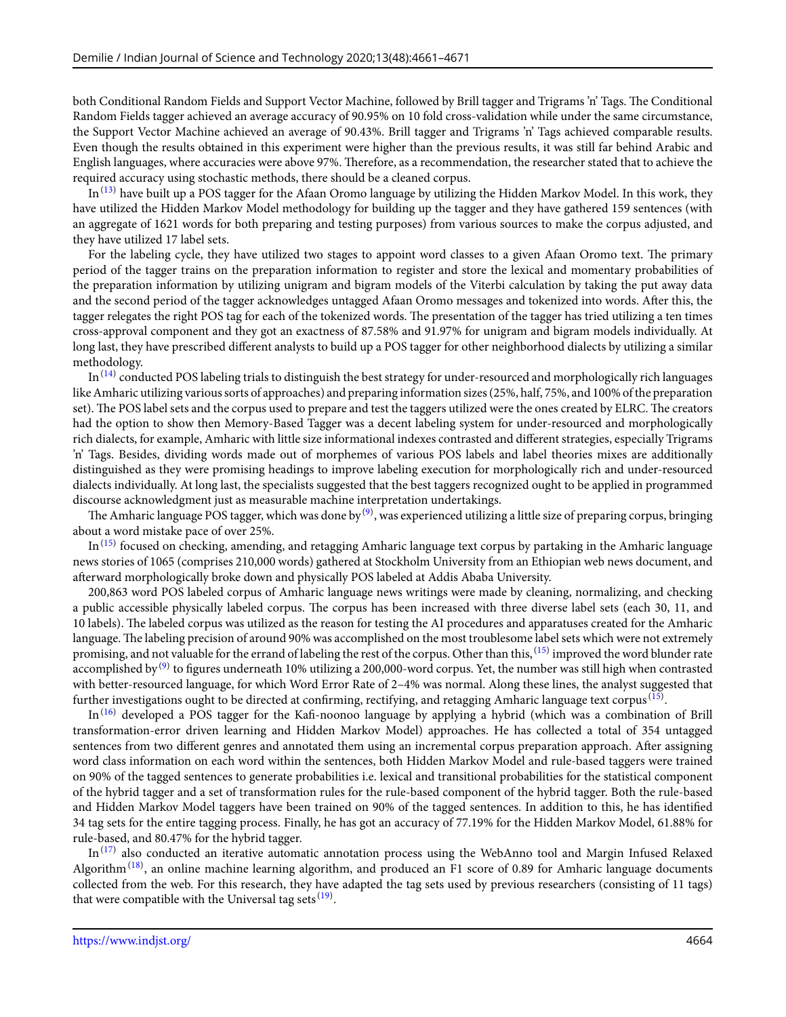both Conditional Random Fields and Support Vector Machine, followed by Brill tagger and Trigrams 'n' Tags. The Conditional Random Fields tagger achieved an average accuracy of 90.95% on 10 fold cross-validation while under the same circumstance, the Support Vector Machine achieved an average of 90.43%. Brill tagger and Trigrams 'n' Tags achieved comparable results. Even though the results obtained in this experiment were higher than the previous results, it was still far behind Arabic and English languages, where accuracies were above 97%. Therefore, as a recommendation, the researcher stated that to achieve the required accuracy using stochastic methods, there should be a cleaned corpus.

 $In^{(13)}$  $In^{(13)}$  $In^{(13)}$  have built up a POS tagger for the Afaan Oromo language by utilizing the Hidden Markov Model. In this work, they have utilized the Hidden Markov Model methodology for building up the tagger and they have gathered 159 sentences (with an aggregate of 1621 words for both preparing and testing purposes) from various sources to make the corpus adjusted, and they have utilized 17 label sets.

For the labeling cycle, they have utilized two stages to appoint word classes to a given Afaan Oromo text. The primary period of the tagger trains on the preparation information to register and store the lexical and momentary probabilities of the preparation information by utilizing unigram and bigram models of the Viterbi calculation by taking the put away data and the second period of the tagger acknowledges untagged Afaan Oromo messages and tokenized into words. After this, the tagger relegates the right POS tag for each of the tokenized words. The presentation of the tagger has tried utilizing a ten times cross-approval component and they got an exactness of 87.58% and 91.97% for unigram and bigram models individually. At long last, they have prescribed different analysts to build up a POS tagger for other neighborhood dialects by utilizing a similar methodology.

In $^{(14)}$  $^{(14)}$  $^{(14)}$  conducted POS labeling trials to distinguish the best strategy for under-resourced and morphologically rich languages like Amharic utilizing various sorts of approaches) and preparing information sizes (25%, half, 75%, and 100% of the preparation set). The POS label sets and the corpus used to prepare and test the taggers utilized were the ones created by ELRC. The creators had the option to show then Memory-Based Tagger was a decent labeling system for under-resourced and morphologically rich dialects, for example, Amharic with little size informational indexes contrasted and different strategies, especially Trigrams 'n' Tags. Besides, dividing words made out of morphemes of various POS labels and label theories mixes are additionally distinguished as they were promising headings to improve labeling execution for morphologically rich and under-resourced dialects individually. At long last, the specialists suggested that the best taggers recognized ought to be applied in programmed discourse acknowledgment just as measurable machine interpretation undertakings.

The Amharic language POS tagger, which was done by  $^{(9)}$  $^{(9)}$  $^{(9)}$ , was experienced utilizing a little size of preparing corpus, bringing about a word mistake pace of over 25%.

In<sup>([15\)](#page-10-11)</sup> focused on checking, amending, and retagging Amharic language text corpus by partaking in the Amharic language news stories of 1065 (comprises 210,000 words) gathered at Stockholm University from an Ethiopian web news document, and afterward morphologically broke down and physically POS labeled at Addis Ababa University.

200,863 word POS labeled corpus of Amharic language news writings were made by cleaning, normalizing, and checking a public accessible physically labeled corpus. The corpus has been increased with three diverse label sets (each 30, 11, and 10 labels). The labeled corpus was utilized as the reason for testing the AI procedures and apparatuses created for the Amharic language. The labeling precision of around 90% was accomplished on the most troublesome label sets which were not extremely promising, and not valuable for the errand of labeling the rest of the corpus. Other than this,  $^{(15)}$  $^{(15)}$  $^{(15)}$  improved the word blunder rate accomplished by $^{(9)}$  $^{(9)}$  $^{(9)}$  to figures underneath 10% utilizing a 200,000-word corpus. Yet, the number was still high when contrasted with better-resourced language, for which Word Error Rate of 2–4% was normal. Along these lines, the analyst suggested that further investigations ought to be directed at confirming, rectifying, and retagging Amharic language text corpus  $^{\rm (15)}.$  $^{\rm (15)}.$  $^{\rm (15)}.$ 

In([16\)](#page-10-12) developed a POS tagger for the Kafi-noonoo language by applying a hybrid (which was a combination of Brill transformation-error driven learning and Hidden Markov Model) approaches. He has collected a total of 354 untagged sentences from two different genres and annotated them using an incremental corpus preparation approach. After assigning word class information on each word within the sentences, both Hidden Markov Model and rule-based taggers were trained on 90% of the tagged sentences to generate probabilities i.e. lexical and transitional probabilities for the statistical component of the hybrid tagger and a set of transformation rules for the rule-based component of the hybrid tagger. Both the rule-based and Hidden Markov Model taggers have been trained on 90% of the tagged sentences. In addition to this, he has identified 34 tag sets for the entire tagging process. Finally, he has got an accuracy of 77.19% for the Hidden Markov Model, 61.88% for rule-based, and 80.47% for the hybrid tagger.

In<sup>([17\)](#page-10-13)</sup> also conducted an iterative automatic annotation process using the WebAnno tool and Margin Infused Relaxed Algorithm<sup>[\(18](#page-10-14))</sup>, an online machine learning algorithm, and produced an F1 score of 0.89 for Amharic language documents collected from the web. For this research, they have adapted the tag sets used by previous researchers (consisting of 11 tags) that were compatible with the Universal tag sets  $(19)$  $(19)$ .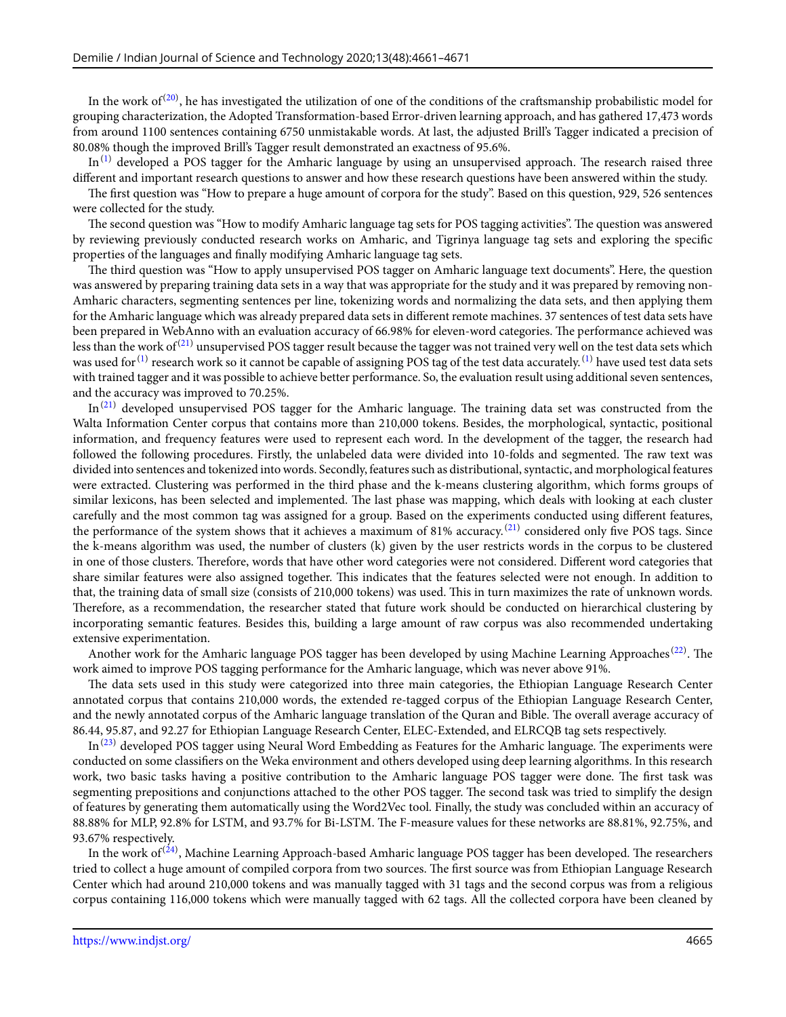In the work of  $^{(20)}$  $^{(20)}$  $^{(20)}$ , he has investigated the utilization of one of the conditions of the craftsmanship probabilistic model for grouping characterization, the Adopted Transformation-based Error-driven learning approach, and has gathered 17,473 words from around 1100 sentences containing 6750 unmistakable words. At last, the adjusted Brill's Tagger indicated a precision of 80.08% though the improved Brill's Tagger result demonstrated an exactness of 95.6%.

 $In<sup>(1)</sup>$  $In<sup>(1)</sup>$  $In<sup>(1)</sup>$  developed a POS tagger for the Amharic language by using an unsupervised approach. The research raised three different and important research questions to answer and how these research questions have been answered within the study.

The first question was "How to prepare a huge amount of corpora for the study". Based on this question, 929, 526 sentences were collected for the study.

The second question was "How to modify Amharic language tag sets for POS tagging activities". The question was answered by reviewing previously conducted research works on Amharic, and Tigrinya language tag sets and exploring the specific properties of the languages and finally modifying Amharic language tag sets.

The third question was "How to apply unsupervised POS tagger on Amharic language text documents". Here, the question was answered by preparing training data sets in a way that was appropriate for the study and it was prepared by removing non-Amharic characters, segmenting sentences per line, tokenizing words and normalizing the data sets, and then applying them for the Amharic language which was already prepared data sets in different remote machines. 37 sentences of test data sets have been prepared in WebAnno with an evaluation accuracy of 66.98% for eleven-word categories. The performance achieved was less than the work of<sup>([21\)](#page-10-17)</sup> unsupervised POS tagger result because the tagger was not trained very well on the test data sets which was used for  $^{(1)}$  $^{(1)}$  $^{(1)}$  research work so it cannot be capable of assigning POS tag of the test data accurately.  $^{(1)}$  $^{(1)}$  $^{(1)}$  have used test data sets with trained tagger and it was possible to achieve better performance. So, the evaluation result using additional seven sentences, and the accuracy was improved to 70.25%.

 $In<sup>(21)</sup>$  $In<sup>(21)</sup>$  $In<sup>(21)</sup>$  developed unsupervised POS tagger for the Amharic language. The training data set was constructed from the Walta Information Center corpus that contains more than 210,000 tokens. Besides, the morphological, syntactic, positional information, and frequency features were used to represent each word. In the development of the tagger, the research had followed the following procedures. Firstly, the unlabeled data were divided into 10-folds and segmented. The raw text was divided into sentences and tokenized into words. Secondly, features such as distributional, syntactic, and morphological features were extracted. Clustering was performed in the third phase and the k-means clustering algorithm, which forms groups of similar lexicons, has been selected and implemented. The last phase was mapping, which deals with looking at each cluster carefully and the most common tag was assigned for a group. Based on the experiments conducted using different features, the performance of the system shows that it achieves a maximum of 81% accuracy.<sup>([21\)](#page-10-17)</sup> considered only five POS tags. Since the k-means algorithm was used, the number of clusters (k) given by the user restricts words in the corpus to be clustered in one of those clusters. Therefore, words that have other word categories were not considered. Different word categories that share similar features were also assigned together. This indicates that the features selected were not enough. In addition to that, the training data of small size (consists of 210,000 tokens) was used. This in turn maximizes the rate of unknown words. Therefore, as a recommendation, the researcher stated that future work should be conducted on hierarchical clustering by incorporating semantic features. Besides this, building a large amount of raw corpus was also recommended undertaking extensive experimentation.

Another work for the Amharic language POS tagger has been developed by using Machine Learning Approaches<sup>[\(22](#page-10-18))</sup>. The work aimed to improve POS tagging performance for the Amharic language, which was never above 91%.

The data sets used in this study were categorized into three main categories, the Ethiopian Language Research Center annotated corpus that contains 210,000 words, the extended re-tagged corpus of the Ethiopian Language Research Center, and the newly annotated corpus of the Amharic language translation of the Quran and Bible. The overall average accuracy of 86.44, 95.87, and 92.27 for Ethiopian Language Research Center, ELEC-Extended, and ELRCQB tag sets respectively.

 $In<sup>(23)</sup>$  $In<sup>(23)</sup>$  $In<sup>(23)</sup>$  developed POS tagger using Neural Word Embedding as Features for the Amharic language. The experiments were conducted on some classifiers on the Weka environment and others developed using deep learning algorithms. In this research work, two basic tasks having a positive contribution to the Amharic language POS tagger were done. The first task was segmenting prepositions and conjunctions attached to the other POS tagger. The second task was tried to simplify the design of features by generating them automatically using the Word2Vec tool. Finally, the study was concluded within an accuracy of 88.88% for MLP, 92.8% for LSTM, and 93.7% for Bi-LSTM. The F-measure values for these networks are 88.81%, 92.75%, and 93.67% respectively.

In the work of<sup>[\(24](#page-10-20))</sup>, Machine Learning Approach-based Amharic language POS tagger has been developed. The researchers tried to collect a huge amount of compiled corpora from two sources. The first source was from Ethiopian Language Research Center which had around 210,000 tokens and was manually tagged with 31 tags and the second corpus was from a religious corpus containing 116,000 tokens which were manually tagged with 62 tags. All the collected corpora have been cleaned by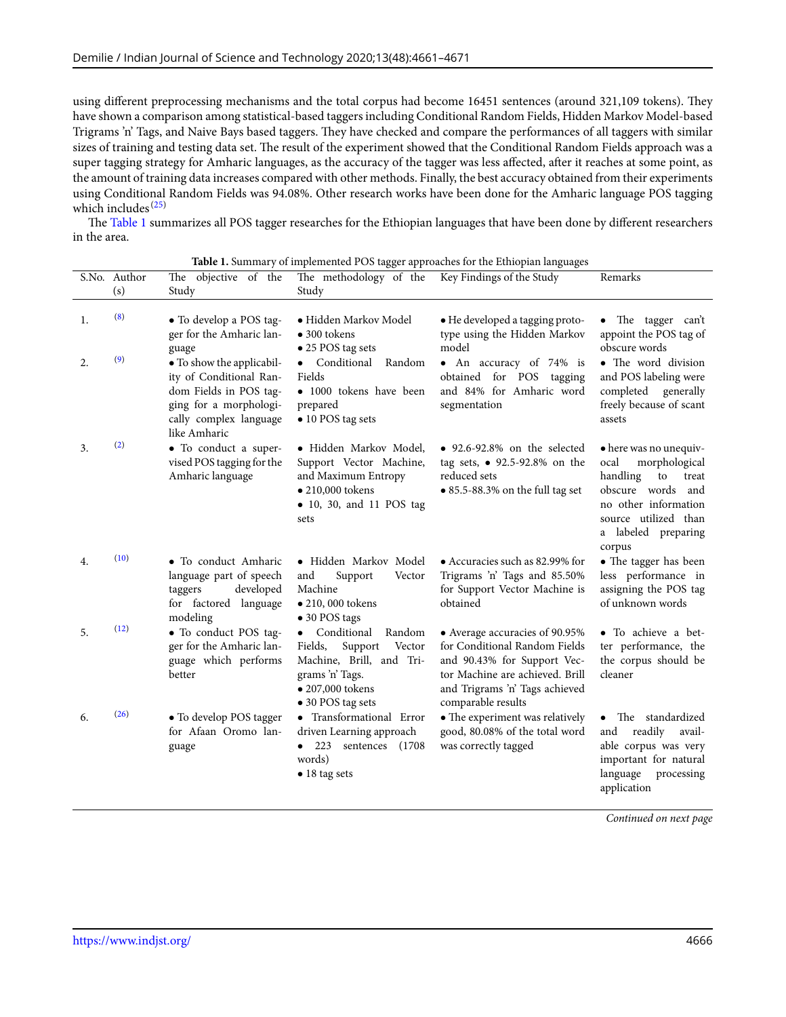using different preprocessing mechanisms and the total corpus had become 16451 sentences (around 321,109 tokens). They have shown a comparison among statistical-based taggers including Conditional Random Fields, Hidden Markov Model-based Trigrams 'n' Tags, and Naive Bays based taggers. They have checked and compare the performances of all taggers with similar sizes of training and testing data set. The result of the experiment showed that the Conditional Random Fields approach was a super tagging strategy for Amharic languages, as the accuracy of the tagger was less affected, after it reaches at some point, as the amount of training data increases compared with other methods. Finally, the best accuracy obtained from their experiments using Conditional Random Fields was 94.08%. Other research works have been done for the Amharic language POS tagging which includes $(25)$  $(25)$  $(25)$ 

<span id="page-5-0"></span>The Table [1](#page-5-0) summarizes all POS tagger researches for the Ethiopian languages that have been done by different researchers in the area.

|          | S.No. Author<br>(s) | The objective of the<br>Study                                                                                         | . .<br>The methodology of the<br>Study                                                                                                        | Key Findings of the Study                                                                                                                                                                 | Remarks                                                                                                                                                                          |
|----------|---------------------|-----------------------------------------------------------------------------------------------------------------------|-----------------------------------------------------------------------------------------------------------------------------------------------|-------------------------------------------------------------------------------------------------------------------------------------------------------------------------------------------|----------------------------------------------------------------------------------------------------------------------------------------------------------------------------------|
| 1.<br>2. | (8)<br>(9)          | · To develop a POS tag-<br>ger for the Amharic lan-<br>guage<br>· To show the applicabil-                             | • Hidden Markov Model<br>$\bullet$ 300 tokens<br>$\bullet$ 25 POS tag sets<br>• Conditional Random                                            | • He developed a tagging proto-<br>type using the Hidden Markov<br>model<br>• An accuracy of 74% is                                                                                       | • The tagger can't<br>appoint the POS tag of<br>obscure words<br>• The word division                                                                                             |
|          |                     | ity of Conditional Ran-<br>dom Fields in POS tag-<br>ging for a morphologi-<br>cally complex language<br>like Amharic | Fields<br>• 1000 tokens have been<br>prepared<br>• 10 POS tag sets                                                                            | obtained for POS tagging<br>and 84% for Amharic word<br>segmentation                                                                                                                      | and POS labeling were<br>completed generally<br>freely because of scant<br>assets                                                                                                |
| 3.       | (2)                 | · To conduct a super-<br>vised POS tagging for the<br>Amharic language                                                | • Hidden Markov Model,<br>Support Vector Machine,<br>and Maximum Entropy<br>$\bullet$ 210,000 tokens<br>• 10, 30, and 11 POS tag<br>sets      | $\bullet$ 92.6-92.8% on the selected<br>tag sets, • 92.5-92.8% on the<br>reduced sets<br>$\bullet$ 85.5-88.3% on the full tag set                                                         | • here was no unequiv-<br>morphological<br>ocal<br>handling<br>to<br>treat<br>obscure words and<br>no other information<br>source utilized than<br>a labeled preparing<br>corpus |
| 4.       | (10)                | • To conduct Amharic<br>language part of speech<br>developed<br>taggers<br>for factored language<br>modeling          | • Hidden Markov Model<br>Support<br>and<br>Vector<br>Machine<br>• 210,000 tokens<br>• 30 POS tags                                             | • Accuracies such as 82.99% for<br>Trigrams 'n' Tags and 85.50%<br>for Support Vector Machine is<br>obtained                                                                              | • The tagger has been<br>less performance in<br>assigning the POS tag<br>of unknown words                                                                                        |
| 5.       | (12)                | • To conduct POS tag-<br>ger for the Amharic lan-<br>guage which performs<br>better                                   | Conditional<br>Random<br>Support<br>Fields,<br>Vector<br>Machine, Brill, and Tri-<br>grams 'n' Tags.<br>• 207,000 tokens<br>• 30 POS tag sets | • Average accuracies of 90.95%<br>for Conditional Random Fields<br>and 90.43% for Support Vec-<br>tor Machine are achieved. Brill<br>and Trigrams 'n' Tags achieved<br>comparable results | • To achieve a bet-<br>ter performance, the<br>the corpus should be<br>cleaner                                                                                                   |
| 6.       | (26)                | • To develop POS tagger<br>for Afaan Oromo lan-<br>guage                                                              | • Transformational Error<br>driven Learning approach<br>$\bullet$ 223<br>sentences (1708)<br>words)<br>$\bullet$ 18 tag sets                  | • The experiment was relatively<br>good, 80.08% of the total word<br>was correctly tagged                                                                                                 | The standardized<br>readily<br>avail-<br>and<br>able corpus was very<br>important for natural<br>language<br>processing<br>application                                           |

|  |  | Table 1. Summary of implemented POS tagger approaches for the Ethiopian languages |  |
|--|--|-----------------------------------------------------------------------------------|--|
|--|--|-----------------------------------------------------------------------------------|--|

*Continued on next page*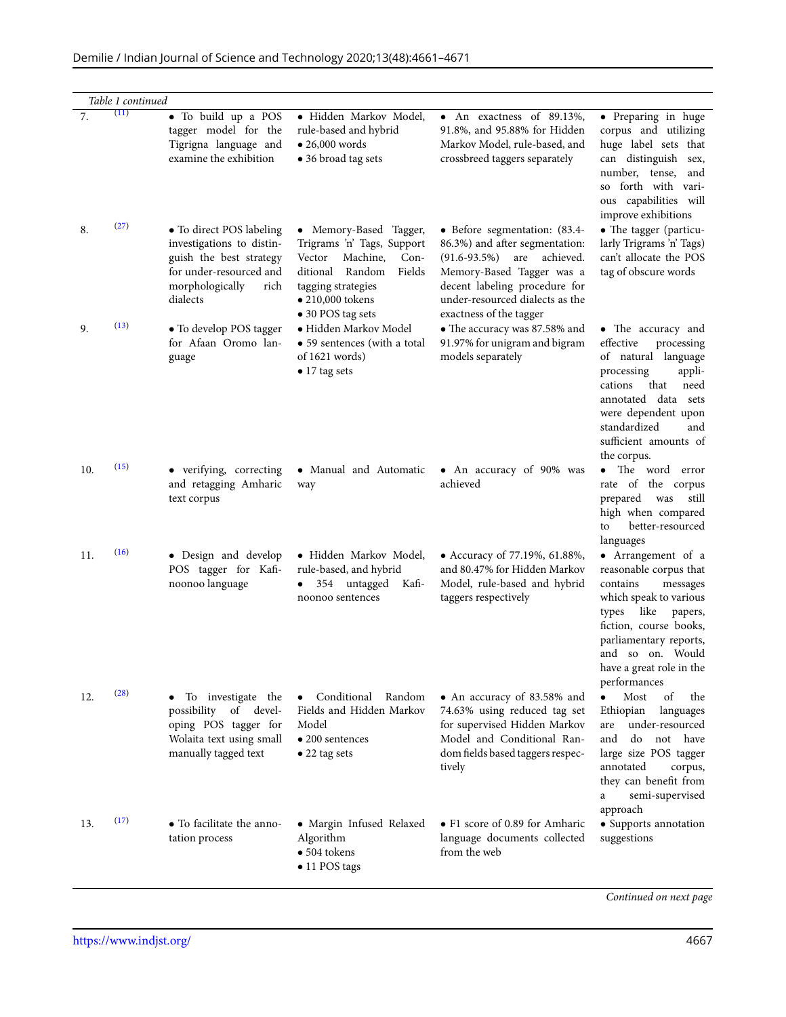| Demilie / Indian Journal of Science and Technology 2020;13(48):4661-4671 |  |  |  |  |
|--------------------------------------------------------------------------|--|--|--|--|
|--------------------------------------------------------------------------|--|--|--|--|

| (11)<br>7.<br>· To build up a POS<br>· Hidden Markov Model,<br>• An exactness of $89.1\overline{3\%}$ ,<br>tagger model for the<br>rule-based and hybrid<br>91.8%, and 95.88% for Hidden<br>$\bullet$ 26,000 words<br>Tigrigna language and<br>Markov Model, rule-based, and<br>examine the exhibition<br>• 36 broad tag sets<br>crossbreed taggers separately<br>can distinguish<br>number, tense,<br>improve exhibitions<br>(27)<br>8.<br>• To direct POS labeling<br>• Memory-Based Tagger,<br>• Before segmentation: (83.4-<br>investigations to distin-<br>Trigrams 'n' Tags, Support<br>86.3%) and after segmentation:<br>guish the best strategy<br>Vector<br>Machine,<br>$Con-$<br>$(91.6 - 93.5\%)$<br>are<br>achieved.<br>for under-resourced and<br>ditional Random<br>Fields<br>Memory-Based Tagger was a<br>tag of obscure words<br>morphologically<br>decent labeling procedure for<br>rich<br>tagging strategies<br>$\bullet$ 210,000 tokens<br>under-resourced dialects as the<br>dialects<br>• 30 POS tag sets<br>exactness of the tagger<br>(13)<br>9.<br>• To develop POS tagger<br>• Hidden Markov Model<br>• The accuracy was 87.58% and<br>for Afaan Oromo lan-<br>91.97% for unigram and bigram<br>• 59 sentences (with a total<br>effective<br>models separately<br>of $1621$ words)<br>guage<br>$\bullet$ 17 tag sets<br>processing<br>cations<br>that<br>standardized<br>the corpus.<br>(15)<br>10.<br>• verifying, correcting<br>• Manual and Automatic<br>• An accuracy of 90% was<br>and retagging Amharic<br>achieved<br>way<br>prepared<br>text corpus<br>was<br>to<br>languages<br>(16)<br>• Design and develop<br>· Hidden Markov Model,<br>11.<br>• Accuracy of 77.19%, 61.88%,<br>POS tagger for Kafi-<br>and 80.47% for Hidden Markov<br>rule-based, and hybrid<br>noonoo language<br>Model, rule-based and hybrid<br>354 untagged<br>Kafi-<br>contains<br>taggers respectively<br>noonoo sentences<br>like<br>types<br>performances<br>(28)<br>Most<br>Conditional Random<br>of<br>12.<br>To investigate the<br>• An accuracy of 83.58% and<br>$\bullet$<br>possibility of devel-<br>Fields and Hidden Markov<br>Ethiopian<br>74.63% using reduced tag set<br>oping POS tagger for<br>for supervised Hidden Markov<br>Model<br>are<br>Wolaita text using small<br>Model and Conditional Ran-<br>do<br>$\bullet$ 200 sentences<br>and<br>manually tagged text<br>dom fields based taggers respec-<br>$\bullet$ 22 tag sets<br>annotated<br>tively<br>a<br>approach<br>(17)<br>• F1 score of 0.89 for Amharic<br>• To facilitate the anno-<br>· Margin Infused Relaxed<br>13.<br>Algorithm<br>language documents collected<br>suggestions<br>tation process<br>$\bullet$ 504 tokens<br>from the web<br>• 11 POS tags | Table 1 continued |  |                                                                                                                                                                                                   |
|---------------------------------------------------------------------------------------------------------------------------------------------------------------------------------------------------------------------------------------------------------------------------------------------------------------------------------------------------------------------------------------------------------------------------------------------------------------------------------------------------------------------------------------------------------------------------------------------------------------------------------------------------------------------------------------------------------------------------------------------------------------------------------------------------------------------------------------------------------------------------------------------------------------------------------------------------------------------------------------------------------------------------------------------------------------------------------------------------------------------------------------------------------------------------------------------------------------------------------------------------------------------------------------------------------------------------------------------------------------------------------------------------------------------------------------------------------------------------------------------------------------------------------------------------------------------------------------------------------------------------------------------------------------------------------------------------------------------------------------------------------------------------------------------------------------------------------------------------------------------------------------------------------------------------------------------------------------------------------------------------------------------------------------------------------------------------------------------------------------------------------------------------------------------------------------------------------------------------------------------------------------------------------------------------------------------------------------------------------------------------------------------------------------------------------------------------------------------------------------------------------------------------------------------------------------------------------------------------------------------------------------------------------------------------------------------------------------------------------------------------------|-------------------|--|---------------------------------------------------------------------------------------------------------------------------------------------------------------------------------------------------|
|                                                                                                                                                                                                                                                                                                                                                                                                                                                                                                                                                                                                                                                                                                                                                                                                                                                                                                                                                                                                                                                                                                                                                                                                                                                                                                                                                                                                                                                                                                                                                                                                                                                                                                                                                                                                                                                                                                                                                                                                                                                                                                                                                                                                                                                                                                                                                                                                                                                                                                                                                                                                                                                                                                                                                         |                   |  | • Preparing in huge<br>corpus and utilizing<br>huge label sets that<br>sex,<br>and<br>so forth with vari-<br>ous capabilities will                                                                |
|                                                                                                                                                                                                                                                                                                                                                                                                                                                                                                                                                                                                                                                                                                                                                                                                                                                                                                                                                                                                                                                                                                                                                                                                                                                                                                                                                                                                                                                                                                                                                                                                                                                                                                                                                                                                                                                                                                                                                                                                                                                                                                                                                                                                                                                                                                                                                                                                                                                                                                                                                                                                                                                                                                                                                         |                   |  | • The tagger (particu-<br>larly Trigrams 'n' Tags)<br>can't allocate the POS                                                                                                                      |
|                                                                                                                                                                                                                                                                                                                                                                                                                                                                                                                                                                                                                                                                                                                                                                                                                                                                                                                                                                                                                                                                                                                                                                                                                                                                                                                                                                                                                                                                                                                                                                                                                                                                                                                                                                                                                                                                                                                                                                                                                                                                                                                                                                                                                                                                                                                                                                                                                                                                                                                                                                                                                                                                                                                                                         |                   |  | • The accuracy and<br>processing<br>of natural language<br>appli-<br>need<br>annotated data sets<br>were dependent upon<br>and<br>sufficient amounts of                                           |
|                                                                                                                                                                                                                                                                                                                                                                                                                                                                                                                                                                                                                                                                                                                                                                                                                                                                                                                                                                                                                                                                                                                                                                                                                                                                                                                                                                                                                                                                                                                                                                                                                                                                                                                                                                                                                                                                                                                                                                                                                                                                                                                                                                                                                                                                                                                                                                                                                                                                                                                                                                                                                                                                                                                                                         |                   |  | • The word error<br>rate of the corpus<br>still<br>high when compared<br>better-resourced                                                                                                         |
|                                                                                                                                                                                                                                                                                                                                                                                                                                                                                                                                                                                                                                                                                                                                                                                                                                                                                                                                                                                                                                                                                                                                                                                                                                                                                                                                                                                                                                                                                                                                                                                                                                                                                                                                                                                                                                                                                                                                                                                                                                                                                                                                                                                                                                                                                                                                                                                                                                                                                                                                                                                                                                                                                                                                                         |                   |  | • Arrangement of a<br>reasonable corpus that<br>messages<br>which speak to various<br>papers,<br>fiction, course books,<br>parliamentary reports,<br>and so on. Would<br>have a great role in the |
|                                                                                                                                                                                                                                                                                                                                                                                                                                                                                                                                                                                                                                                                                                                                                                                                                                                                                                                                                                                                                                                                                                                                                                                                                                                                                                                                                                                                                                                                                                                                                                                                                                                                                                                                                                                                                                                                                                                                                                                                                                                                                                                                                                                                                                                                                                                                                                                                                                                                                                                                                                                                                                                                                                                                                         |                   |  | the<br>languages<br>under-resourced<br>not have<br>large size POS tagger<br>corpus,<br>they can benefit from<br>semi-supervised                                                                   |
|                                                                                                                                                                                                                                                                                                                                                                                                                                                                                                                                                                                                                                                                                                                                                                                                                                                                                                                                                                                                                                                                                                                                                                                                                                                                                                                                                                                                                                                                                                                                                                                                                                                                                                                                                                                                                                                                                                                                                                                                                                                                                                                                                                                                                                                                                                                                                                                                                                                                                                                                                                                                                                                                                                                                                         |                   |  | • Supports annotation<br>Continued on next page                                                                                                                                                   |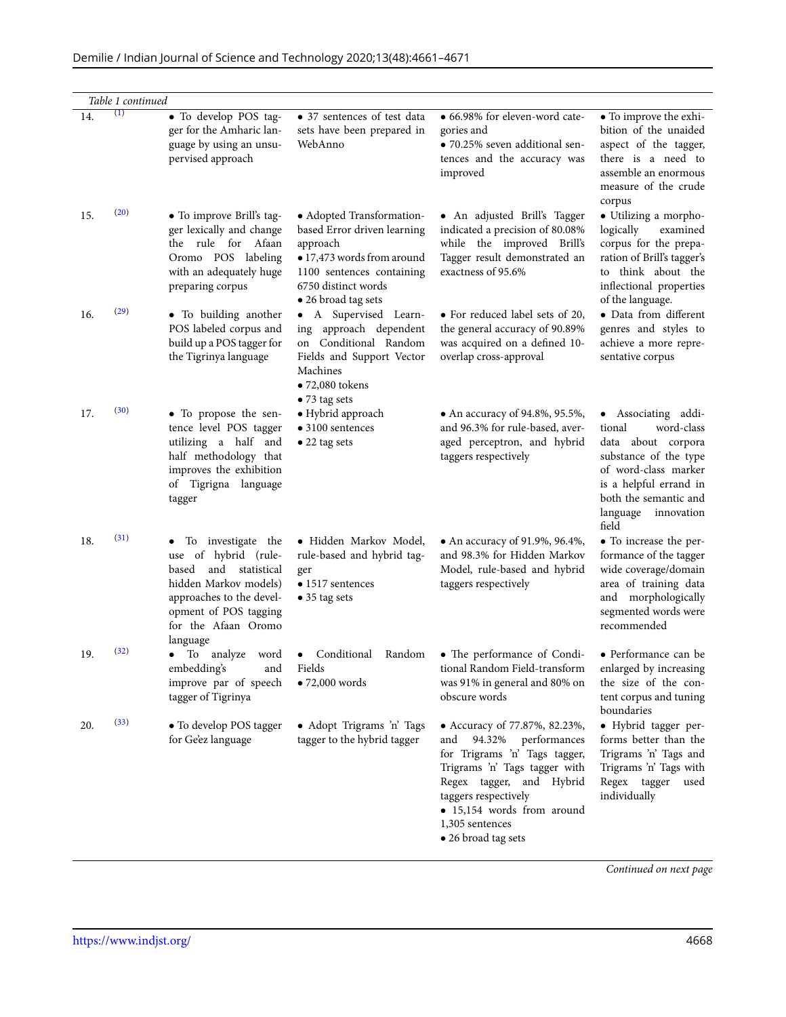|     | Table 1 continued |                                                                                                                                                                                         |                                                                                                                                                                               |                                                                                                                                                                                                                                                              |                                                                                                                                                                                                          |
|-----|-------------------|-----------------------------------------------------------------------------------------------------------------------------------------------------------------------------------------|-------------------------------------------------------------------------------------------------------------------------------------------------------------------------------|--------------------------------------------------------------------------------------------------------------------------------------------------------------------------------------------------------------------------------------------------------------|----------------------------------------------------------------------------------------------------------------------------------------------------------------------------------------------------------|
| 14. | $\left(1\right)$  | · To develop POS tag-<br>ger for the Amharic lan-<br>guage by using an unsu-<br>pervised approach                                                                                       | • 37 sentences of test data<br>sets have been prepared in<br>WebAnno                                                                                                          | • 66.98% for eleven-word cate-<br>gories and<br>· 70.25% seven additional sen-<br>tences and the accuracy was<br>improved                                                                                                                                    | • To improve the exhi-<br>bition of the unaided<br>aspect of the tagger,<br>there is a need to<br>assemble an enormous<br>measure of the crude<br>corpus                                                 |
| 15. | (20)              | • To improve Brill's tag-<br>ger lexically and change<br>the rule for Afaan<br>Oromo POS labeling<br>with an adequately huge<br>preparing corpus                                        | • Adopted Transformation-<br>based Error driven learning<br>approach<br>• 17,473 words from around<br>1100 sentences containing<br>6750 distinct words<br>• 26 broad tag sets | • An adjusted Brill's Tagger<br>indicated a precision of 80.08%<br>while the improved Brill's<br>Tagger result demonstrated an<br>exactness of 95.6%                                                                                                         | · Utilizing a morpho-<br>logically<br>examined<br>corpus for the prepa-<br>ration of Brill's tagger's<br>to think about the<br>inflectional properties<br>of the language.                               |
| 16. | (29)              | · To building another<br>POS labeled corpus and<br>build up a POS tagger for<br>the Tigrinya language                                                                                   | • A Supervised Learn-<br>ing approach dependent<br>on Conditional Random<br>Fields and Support Vector<br>Machines<br>$\bullet$ 72,080 tokens<br>• 73 tag sets                 | • For reduced label sets of 20,<br>the general accuracy of 90.89%<br>was acquired on a defined 10-<br>overlap cross-approval                                                                                                                                 | · Data from different<br>genres and styles to<br>achieve a more repre-<br>sentative corpus                                                                                                               |
| 17. | (30)              | • To propose the sen-<br>tence level POS tagger<br>utilizing a half and<br>half methodology that<br>improves the exhibition<br>of Tigrigna language<br>tagger                           | · Hybrid approach<br>$\bullet$ 3100 sentences<br>$\bullet$ 22 tag sets                                                                                                        | • An accuracy of $94.8\%$ , $95.5\%$ ,<br>and 96.3% for rule-based, aver-<br>aged perceptron, and hybrid<br>taggers respectively                                                                                                                             | • Associating addi-<br>word-class<br>tional<br>data about corpora<br>substance of the type<br>of word-class marker<br>is a helpful errand in<br>both the semantic and<br>language<br>innovation<br>field |
| 18. | (31)              | To investigate the<br>use of hybrid (rule-<br>and statistical<br>based<br>hidden Markov models)<br>approaches to the devel-<br>opment of POS tagging<br>for the Afaan Oromo<br>language | · Hidden Markov Model,<br>rule-based and hybrid tag-<br>ger<br>$\bullet$ 1517 sentences<br>$\bullet$ 35 tag sets                                                              | • An accuracy of 91.9%, 96.4%,<br>and 98.3% for Hidden Markov<br>Model, rule-based and hybrid<br>taggers respectively                                                                                                                                        | • To increase the per-<br>formance of the tagger<br>wide coverage/domain<br>area of training data<br>and morphologically<br>segmented words were<br>recommended                                          |
| 19. | (32)              | To analyze word<br>$\bullet$<br>embedding's<br>and<br>improve par of speech<br>tagger of Tigrinya                                                                                       | Conditional Random<br>٠<br>Fields<br>$\bullet$ 72,000 words                                                                                                                   | • The performance of Condi-<br>tional Random Field-transform<br>was 91% in general and 80% on<br>obscure words                                                                                                                                               | • Performance can be<br>enlarged by increasing<br>the size of the con-<br>tent corpus and tuning<br>boundaries                                                                                           |
| 20. | (33)              | • To develop POS tagger<br>for Ge'ez language                                                                                                                                           | • Adopt Trigrams 'n' Tags<br>tagger to the hybrid tagger                                                                                                                      | • Accuracy of 77.87%, 82.23%,<br>94.32%<br>performances<br>and<br>for Trigrams 'n' Tags tagger,<br>Trigrams 'n' Tags tagger with<br>Regex tagger, and Hybrid<br>taggers respectively<br>· 15,154 words from around<br>1,305 sentences<br>• 26 broad tag sets | · Hybrid tagger per-<br>forms better than the<br>Trigrams 'n' Tags and<br>Trigrams 'n' Tags with<br>Regex tagger used<br>individually                                                                    |

*Continued on next page*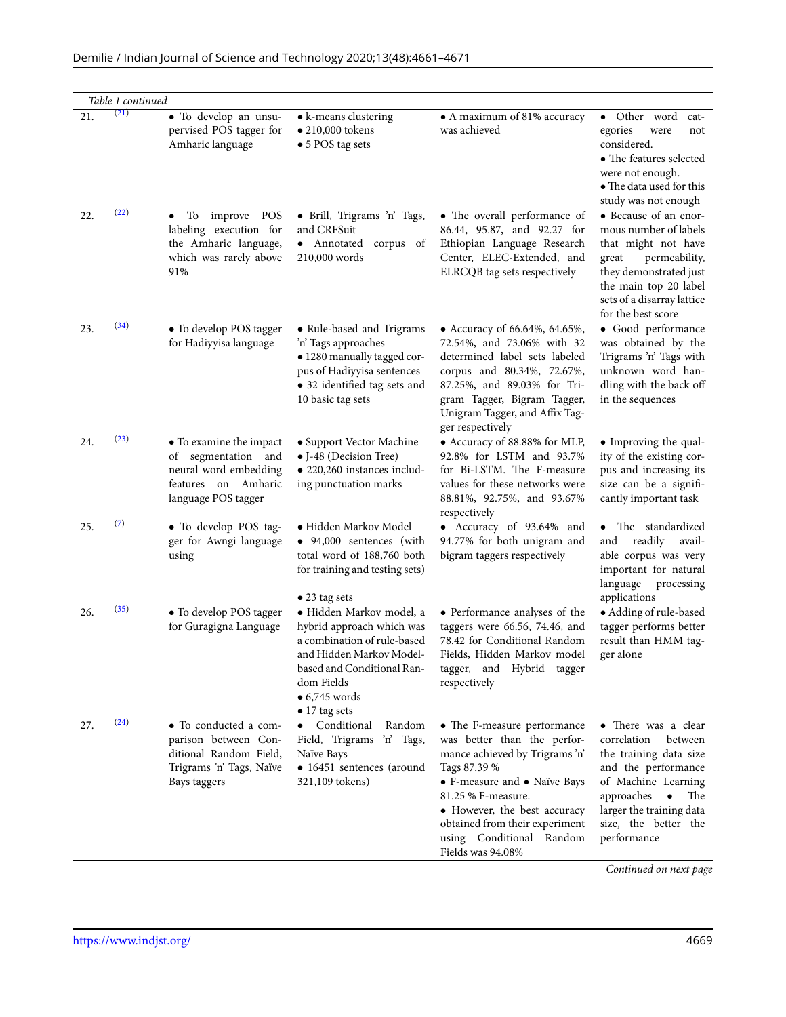| Demilie / Indian Journal of Science and Technology 2020;13(48):4661-4671 |  |
|--------------------------------------------------------------------------|--|
|--------------------------------------------------------------------------|--|

| 21. | Table 1 continued<br>(21) | • To develop an unsu-                                                                                                 | • k-means clustering                                                                                                                                                                                           | • A maximum of 81% accuracy                                                                                                                                                                                                                                                           | • Other word<br>cat-                                                                                                                                                                                         |
|-----|---------------------------|-----------------------------------------------------------------------------------------------------------------------|----------------------------------------------------------------------------------------------------------------------------------------------------------------------------------------------------------------|---------------------------------------------------------------------------------------------------------------------------------------------------------------------------------------------------------------------------------------------------------------------------------------|--------------------------------------------------------------------------------------------------------------------------------------------------------------------------------------------------------------|
|     |                           | pervised POS tagger for<br>Amharic language                                                                           | $\bullet$ 210,000 tokens<br>• 5 POS tag sets                                                                                                                                                                   | was achieved                                                                                                                                                                                                                                                                          | egories<br>were<br>not<br>considered.<br>• The features selected<br>were not enough.<br>• The data used for this<br>study was not enough                                                                     |
| 22. | (22)                      | improve POS<br>Тo<br>$\bullet$<br>labeling execution for<br>the Amharic language,<br>which was rarely above<br>91%    | · Brill, Trigrams 'n' Tags,<br>and CRFSuit<br>· Annotated corpus of<br>210,000 words                                                                                                                           | • The overall performance of<br>86.44, 95.87, and 92.27 for<br>Ethiopian Language Research<br>Center, ELEC-Extended, and<br>ELRCQB tag sets respectively                                                                                                                              | • Because of an enor-<br>mous number of labels<br>that might not have<br>permeability,<br>great<br>they demonstrated just<br>the main top 20 label<br>sets of a disarray lattice<br>for the best score       |
| 23. | (34)                      | • To develop POS tagger<br>for Hadiyyisa language                                                                     | • Rule-based and Trigrams<br>'n' Tags approaches<br>· 1280 manually tagged cor-<br>pus of Hadiyyisa sentences<br>• 32 identified tag sets and<br>10 basic tag sets                                             | • Accuracy of 66.64%, 64.65%,<br>72.54%, and 73.06% with 32<br>determined label sets labeled<br>corpus and 80.34%, 72.67%,<br>87.25%, and 89.03% for Tri-<br>gram Tagger, Bigram Tagger,<br>Unigram Tagger, and Affix Tag-<br>ger respectively                                        | · Good performance<br>was obtained by the<br>Trigrams 'n' Tags with<br>unknown word han-<br>dling with the back off<br>in the sequences                                                                      |
| 24. | (23)                      | • To examine the impact<br>of segmentation and<br>neural word embedding<br>features on Amharic<br>language POS tagger | • Support Vector Machine<br>• J-48 (Decision Tree)<br>• 220,260 instances includ-<br>ing punctuation marks                                                                                                     | • Accuracy of 88.88% for MLP,<br>92.8% for LSTM and 93.7%<br>for Bi-LSTM. The F-measure<br>values for these networks were<br>88.81%, 92.75%, and 93.67%<br>respectively                                                                                                               | • Improving the qual-<br>ity of the existing cor-<br>pus and increasing its<br>size can be a signifi-<br>cantly important task                                                                               |
| 25. | (7)                       | • To develop POS tag-<br>ger for Awngi language<br>using                                                              | • Hidden Markov Model<br>• 94,000 sentences (with<br>total word of 188,760 both<br>for training and testing sets)<br>$\bullet$ 23 tag sets                                                                     | • Accuracy of 93.64% and<br>94.77% for both unigram and<br>bigram taggers respectively                                                                                                                                                                                                | • The standardized<br>readily<br>and<br>avail-<br>able corpus was very<br>important for natural<br>language<br>processing<br>applications                                                                    |
| 26. | (35)                      | • To develop POS tagger<br>for Guragigna Language                                                                     | · Hidden Markov model, a<br>hybrid approach which was<br>a combination of rule-based<br>and Hidden Markov Model-<br>based and Conditional Ran-<br>dom Fields<br>$\bullet$ 6,745 words<br>$\bullet$ 17 tag sets | • Performance analyses of the<br>taggers were 66.56, 74.46, and<br>78.42 for Conditional Random<br>Fields, Hidden Markov model<br>tagger, and Hybrid tagger<br>respectively                                                                                                           | • Adding of rule-based<br>tagger performs better<br>result than HMM tag-<br>ger alone                                                                                                                        |
| 27. | (24)                      | • To conducted a com-<br>parison between Con-<br>ditional Random Field,<br>Trigrams 'n' Tags, Naïve<br>Bays taggers   | • Conditional<br>Random<br>Field, Trigrams 'n' Tags,<br>Naïve Bays<br>• 16451 sentences (around<br>321,109 tokens)                                                                                             | • The F-measure performance<br>was better than the perfor-<br>mance achieved by Trigrams 'n'<br>Tags 87.39 %<br>• F-measure and • Naïve Bays<br>81.25 % F-measure.<br>• However, the best accuracy<br>obtained from their experiment<br>using Conditional Random<br>Fields was 94.08% | • There was a clear<br>correlation<br>between<br>the training data size<br>and the performance<br>of Machine Learning<br>approaches • The<br>larger the training data<br>size, the better the<br>performance |

*Continued on next page*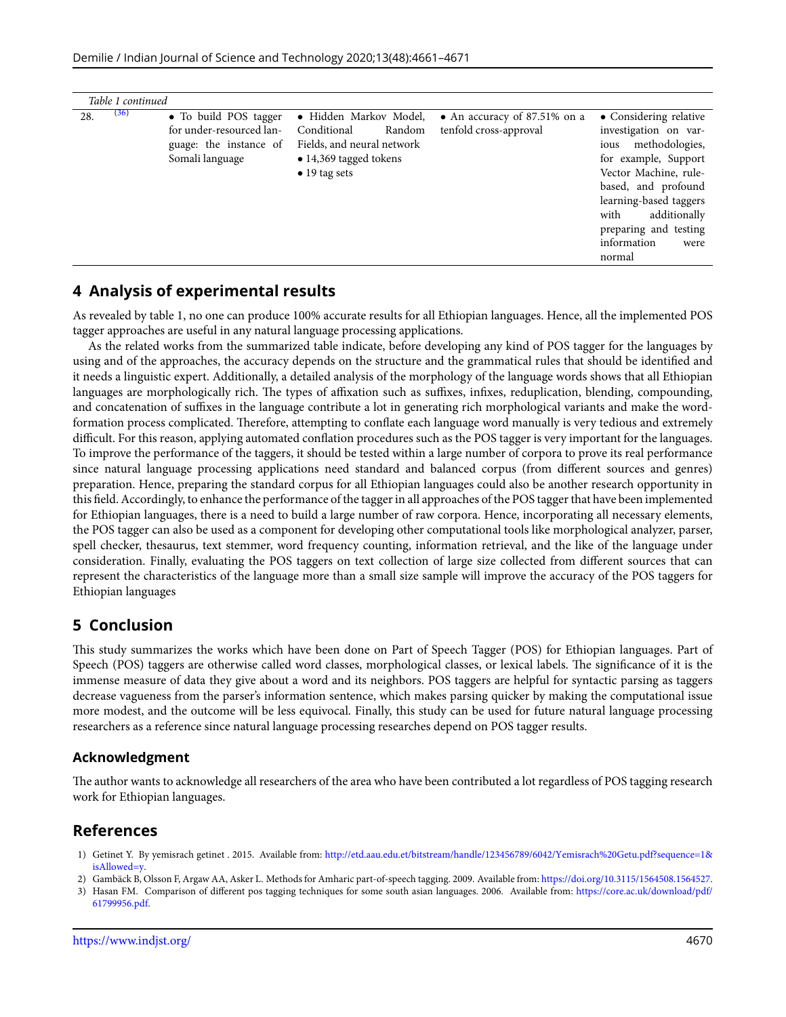| (36)<br>28.<br>• Hidden Markov Model,<br>• Considering relative<br>• To build POS tagger<br>• An accuracy of $87.51\%$ on a<br>for under-resourced lan-<br>tenfold cross-approval<br>Conditional<br>Random<br>investigation on var-<br>Fields, and neural network<br>ious methodologies,<br>guage: the instance of<br>Somali language<br>for example, Support<br>• 14,369 tagged tokens<br>Vector Machine, rule-<br>$\bullet$ 19 tag sets<br>based, and profound<br>learning-based taggers<br>additionally<br>with<br>preparing and testing<br>information<br>were | Table 1 continued |  |  |
|--------------------------------------------------------------------------------------------------------------------------------------------------------------------------------------------------------------------------------------------------------------------------------------------------------------------------------------------------------------------------------------------------------------------------------------------------------------------------------------------------------------------------------------------------------------------|-------------------|--|--|
| normal                                                                                                                                                                                                                                                                                                                                                                                                                                                                                                                                                             |                   |  |  |

### **4 Analysis of experimental results**

As revealed by table 1, no one can produce 100% accurate results for all Ethiopian languages. Hence, all the implemented POS tagger approaches are useful in any natural language processing applications.

As the related works from the summarized table indicate, before developing any kind of POS tagger for the languages by using and of the approaches, the accuracy depends on the structure and the grammatical rules that should be identified and it needs a linguistic expert. Additionally, a detailed analysis of the morphology of the language words shows that all Ethiopian languages are morphologically rich. The types of affixation such as suffixes, infixes, reduplication, blending, compounding, and concatenation of suffixes in the language contribute a lot in generating rich morphological variants and make the wordformation process complicated. Therefore, attempting to conflate each language word manually is very tedious and extremely difficult. For this reason, applying automated conflation procedures such as the POS tagger is very important for the languages. To improve the performance of the taggers, it should be tested within a large number of corpora to prove its real performance since natural language processing applications need standard and balanced corpus (from different sources and genres) preparation. Hence, preparing the standard corpus for all Ethiopian languages could also be another research opportunity in this field. Accordingly, to enhance the performance of the tagger in all approaches of the POS tagger that have been implemented for Ethiopian languages, there is a need to build a large number of raw corpora. Hence, incorporating all necessary elements, the POS tagger can also be used as a component for developing other computational tools like morphological analyzer, parser, spell checker, thesaurus, text stemmer, word frequency counting, information retrieval, and the like of the language under consideration. Finally, evaluating the POS taggers on text collection of large size collected from different sources that can represent the characteristics of the language more than a small size sample will improve the accuracy of the POS taggers for Ethiopian languages

## **5 Conclusion**

This study summarizes the works which have been done on Part of Speech Tagger (POS) for Ethiopian languages. Part of Speech (POS) taggers are otherwise called word classes, morphological classes, or lexical labels. The significance of it is the immense measure of data they give about a word and its neighbors. POS taggers are helpful for syntactic parsing as taggers decrease vagueness from the parser's information sentence, which makes parsing quicker by making the computational issue more modest, and the outcome will be less equivocal. Finally, this study can be used for future natural language processing researchers as a reference since natural language processing researches depend on POS tagger results.

#### **Acknowledgment**

The author wants to acknowledge all researchers of the area who have been contributed a lot regardless of POS tagging research work for Ethiopian languages.

## **References**

- <span id="page-9-0"></span>1) Getinet Y. By yemisrach getinet . 2015. Available from: [http://etd.aau.edu.et/bitstream/handle/123456789/6042/Yemisrach%20Getu.pdf?sequence=1&](http://etd.aau.edu.et/bitstream/handle/123456789/6042/Yemisrach%20Getu.pdf?sequence=1&isAllowed=y) [isAllowed=y](http://etd.aau.edu.et/bitstream/handle/123456789/6042/Yemisrach%20Getu.pdf?sequence=1&isAllowed=y).
- <span id="page-9-1"></span>2) Gambäck B, Olsson F, Argaw AA, Asker L. Methods for Amharic part-of-speech tagging. 2009. Available from: <https://doi.org/10.3115/1564508.1564527>.
- <span id="page-9-2"></span>3) Hasan FM. Comparison of different pos tagging techniques for some south asian languages. 2006. Available from: [https://core.ac.uk/download/pdf/](https://core.ac.uk/download/pdf/61799956.pdf) [61799956.pdf](https://core.ac.uk/download/pdf/61799956.pdf).